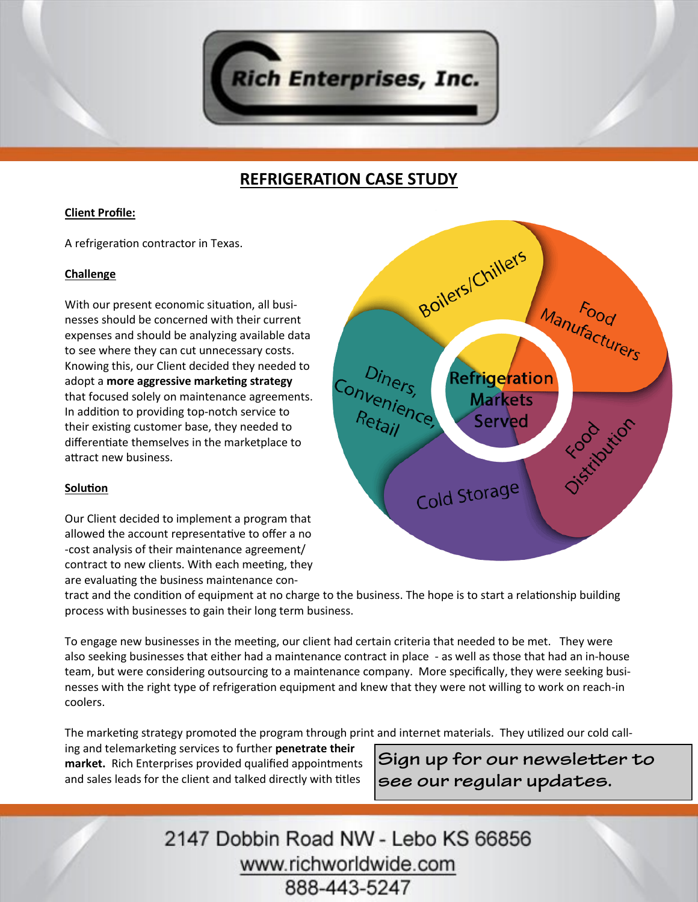

# **REFRIGERATION CASE STUDY**

## **Client Profile:**

A refrigeration contractor in Texas.

### **Challenge**

With our present economic situation, all businesses should be concerned with their current expenses and should be analyzing available data to see where they can cut unnecessary costs. Knowing this, our Client decided they needed to adopt a **more aggressive marketing strategy**  that focused solely on maintenance agreements. In addition to providing top-notch service to their existing customer base, they needed to differentiate themselves in the marketplace to attract new business.

## **Solution**

Our Client decided to implement a program that allowed the account representative to offer a no -cost analysis of their maintenance agreement/ contract to new clients. With each meeting, they are evaluating the business maintenance con-

tract and the condition of equipment at no charge to the business. The hope is to start a relationship building process with businesses to gain their long term business.

To engage new businesses in the meeting, our client had certain criteria that needed to be met. They were also seeking businesses that either had a maintenance contract in place - as well as those that had an in-house team, but were considering outsourcing to a maintenance company. More specifically, they were seeking businesses with the right type of refrigeration equipment and knew that they were not willing to work on reach-in coolers.

The marketing strategy promoted the program through print and internet materials. They utilized our cold call-

ing and telemarketing services to further **penetrate their market.** Rich Enterprises provided qualified appointments and sales leads for the client and talked directly with titles

Sign up for our newsletter to see our regular updates.

2147 Dobbin Road NW - Lebo KS 66856 www.richworldwide.com 888-443-5247